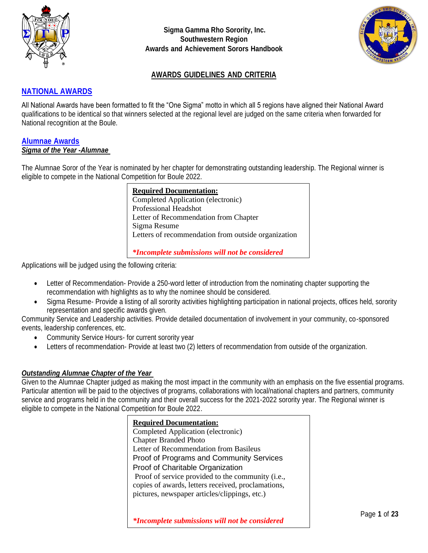



### **AWARDS GUIDELINES AND CRITERIA**

### **NATIONAL AWARDS**

All National Awards have been formatted to fit the "One Sigma" motto in which all 5 regions have aligned their National Award qualifications to be identical so that winners selected at the regional level are judged on the same criteria when forwarded for National recognition at the Boule.

#### **Alumnae Awards** *Sigma of the Year -Alumnae*

The Alumnae Soror of the Year is nominated by her chapter for demonstrating outstanding leadership. The Regional winner is eligible to compete in the National Competition for Boule 2022.

> **Required Documentation:** Completed Application (electronic) Professional Headshot Letter of Recommendation from Chapter Sigma Resume Letters of recommendation from outside organization

*\*Incomplete submissions will not be considered*

Applications will be judged using the following criteria:

- Letter of Recommendation-Provide a 250-word letter of introduction from the nominating chapter supporting the recommendation with highlights as to why the nominee should be considered.
- Sigma Resume- Provide a listing of all sorority activities highlighting participation in national projects, offices held, sorority representation and specific awards given.

Community Service and Leadership activities. Provide detailed documentation of involvement in your community, co-sponsored events, leadership conferences, etc.

- Community Service Hours- for current sorority year
- Letters of recommendation- Provide at least two (2) letters of recommendation from outside of the organization.

#### *Outstanding Alumnae Chapter of the Year*

Given to the Alumnae Chapter judged as making the most impact in the community with an emphasis on the five essential programs. Particular attention will be paid to the objectives of programs, collaborations with local/national chapters and partners, community service and programs held in the community and their overall success for the 2021-2022 sorority year. The Regional winner is eligible to compete in the National Competition for Boule 2022.

### **Required Documentation:** Completed Application (electronic) Chapter Branded Photo Letter of Recommendation from Basileus Proof of Programs and Community Services Proof of Charitable Organization Proof of service provided to the community (i.e., copies of awards, letters received, proclamations, pictures, newspaper articles/clippings, etc.)

*\*Incomplete submissions will not be considered*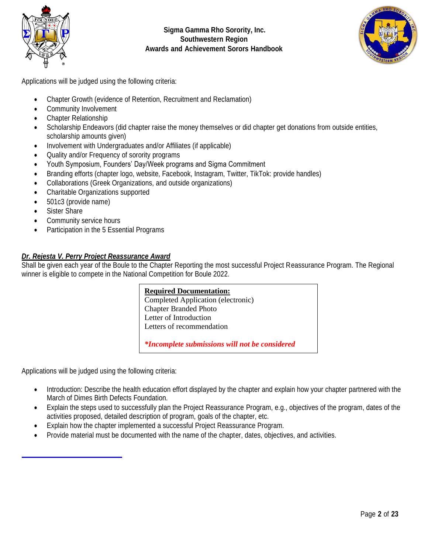



Applications will be judged using the following criteria:

- Chapter Growth (evidence of Retention, Recruitment and Reclamation)
- Community Involvement
- Chapter Relationship
- Scholarship Endeavors (did chapter raise the money themselves or did chapter get donations from outside entities, scholarship amounts given)
- Involvement with Undergraduates and/or Affiliates (if applicable)
- Quality and/or Frequency of sorority programs
- Youth Symposium, Founders' Day/Week programs and Sigma Commitment
- Branding efforts (chapter logo, website, Facebook, Instagram, Twitter, TikTok: provide handles)
- Collaborations (Greek Organizations, and outside organizations)
- Charitable Organizations supported
- 501c3 (provide name)
- Sister Share
- Community service hours
- Participation in the 5 Essential Programs

### *Dr. Rejesta V. Perry Project Reassurance Award*

Shall be given each year of the Boule to the Chapter Reporting the most successful Project Reassurance Program. The Regional winner is eligible to compete in the National Competition for Boule 2022.

#### **Required Documentation:**

Completed Application (electronic) Chapter Branded Photo Letter of Introduction Letters of recommendation

*\*Incomplete submissions will not be considered*

Applications will be judged using the following criteria:

- Introduction: Describe the health education effort displayed by the chapter and explain how your chapter partnered with the March of Dimes Birth Defects Foundation.
- Explain the steps used to successfully plan the Project Reassurance Program, e.g., objectives of the program, dates of the activities proposed, detailed description of program, goals of the chapter, etc.
- Explain how the chapter implemented a successful Project Reassurance Program.
- Provide material must be documented with the name of the chapter, dates, objectives, and activities.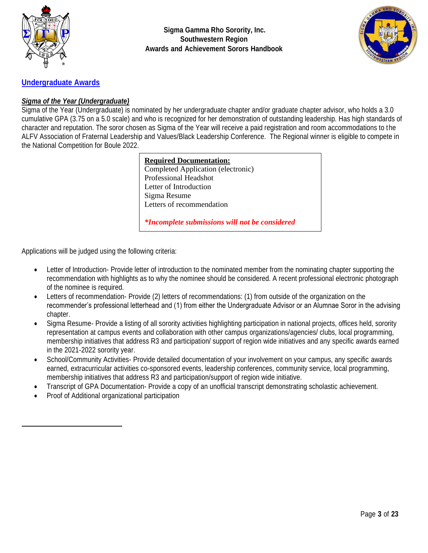



### **Undergraduate Awards**

### *Sigma of the Year (Undergraduate)*

Sigma of the Year (Undergraduate) is nominated by her undergraduate chapter and/or graduate chapter advisor, who holds a 3.0 cumulative GPA (3.75 on a 5.0 scale) and who is recognized for her demonstration of outstanding leadership. Has high standards of character and reputation. The soror chosen as Sigma of the Year will receive a paid registration and room accommodations to the ALFV Association of Fraternal Leadership and Values/Black Leadership Conference. The Regional winner is eligible to compete in the National Competition for Boule 2022.

| <b>Required Documentation:</b>     |
|------------------------------------|
| Completed Application (electronic) |
| Professional Headshot              |
| Letter of Introduction             |
| Sigma Resume                       |
| Letters of recommendation          |
|                                    |

*\*Incomplete submissions will not be considered*

Applications will be judged using the following criteria:

- Letter of Introduction-Provide letter of introduction to the nominated member from the nominating chapter supporting the recommendation with highlights as to why the nominee should be considered. A recent professional electronic photograph of the nominee is required.
- Letters of recommendation- Provide (2) letters of recommendations: (1) from outside of the organization on the recommender's professional letterhead and (1) from either the Undergraduate Advisor or an Alumnae Soror in the advising chapter.
- Sigma Resume- Provide a listing of all sorority activities highlighting participation in national projects, offices held, sorority representation at campus events and collaboration with other campus organizations/agencies/ clubs, local programming, membership initiatives that address R3 and participation/ support of region wide initiatives and any specific awards earned in the 2021-2022 sorority year.
- School/Community Activities- Provide detailed documentation of your involvement on your campus, any specific awards earned, extracurricular activities co-sponsored events, leadership conferences, community service, local programming, membership initiatives that address R3 and participation/support of region wide initiative.
- Transcript of GPA Documentation- Provide a copy of an unofficial transcript demonstrating scholastic achievement.
- Proof of Additional organizational participation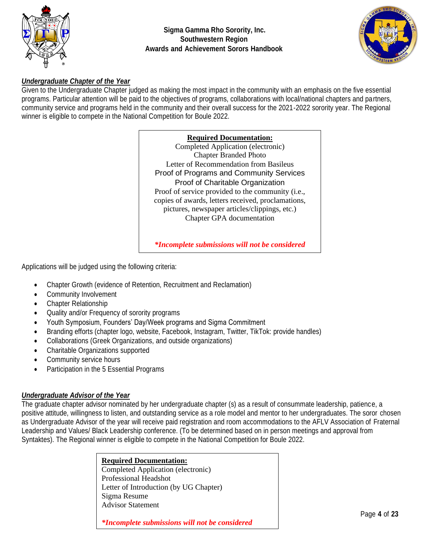



#### *Undergraduate Chapter of the Year*

Given to the Undergraduate Chapter judged as making the most impact in the community with an emphasis on the five essential programs. Particular attention will be paid to the objectives of programs, collaborations with local/national chapters and partners, community service and programs held in the community and their overall success for the 2021-2022 sorority year. The Regional winner is eligible to compete in the National Competition for Boule 2022.

#### **Required Documentation:**

Completed Application (electronic) Chapter Branded Photo Letter of Recommendation from Basileus Proof of Programs and Community Services Proof of Charitable Organization Proof of service provided to the community (i.e., copies of awards, letters received, proclamations, pictures, newspaper articles/clippings, etc.) Chapter GPA documentation

*\*Incomplete submissions will not be considered*

Applications will be judged using the following criteria:

- Chapter Growth (evidence of Retention, Recruitment and Reclamation)
- Community Involvement
- Chapter Relationship
- Quality and/or Frequency of sorority programs
- Youth Symposium, Founders' Day/Week programs and Sigma Commitment
- Branding efforts (chapter logo, website, Facebook, Instagram, Twitter, TikTok: provide handles)
- Collaborations (Greek Organizations, and outside organizations)
- Charitable Organizations supported
- Community service hours
- Participation in the 5 Essential Programs

#### *Undergraduate Advisor of the Year*

The graduate chapter advisor nominated by her undergraduate chapter (s) as a result of consummate leadership, patience, a positive attitude, willingness to listen, and outstanding service as a role model and mentor to her undergraduates. The soror chosen as Undergraduate Advisor of the year will receive paid registration and room accommodations to the AFLV Association of Fraternal Leadership and Values/ Black Leadership conference. (To be determined based on in person meetings and approval from Syntaktes). The Regional winner is eligible to compete in the National Competition for Boule 2022.

> **Required Documentation:** Completed Application (electronic) Professional Headshot Letter of Introduction (by UG Chapter) Sigma Resume Advisor Statement

*\*Incomplete submissions will not be considered*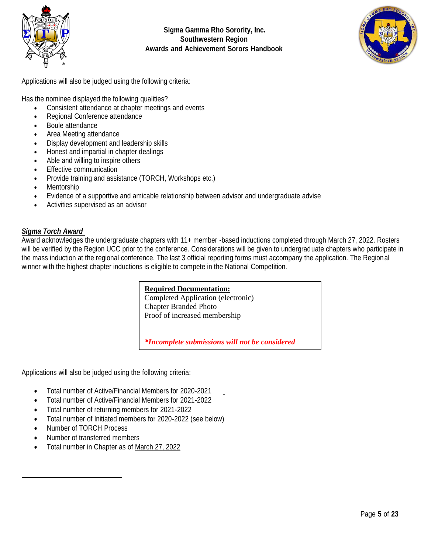



Applications will also be judged using the following criteria:

Has the nominee displayed the following qualities?

- Consistent attendance at chapter meetings and events
- Regional Conference attendance
- Boule attendance
- Area Meeting attendance
- Display development and leadership skills
- Honest and impartial in chapter dealings
- Able and willing to inspire others
- Effective communication
- Provide training and assistance (TORCH, Workshops etc.)
- **Mentorship**
- Evidence of a supportive and amicable relationship between advisor and undergraduate advise
- Activities supervised as an advisor

#### *Sigma Torch Award*

Award acknowledges the undergraduate chapters with 11+ member -based inductions completed through March 27, 2022. Rosters will be verified by the Region UCC prior to the conference. Considerations will be given to undergraduate chapters who participate in the mass induction at the regional conference. The last 3 official reporting forms must accompany the application. The Regional winner with the highest chapter inductions is eligible to compete in the National Competition.

#### **Required Documentation:**

Completed Application (electronic) Chapter Branded Photo Proof of increased membership

*\*Incomplete submissions will not be considered*

Applications will also be judged using the following criteria:

- Total number of Active/Financial Members for 2020-2021
- Total number of Active/Financial Members for 2021-2022
- Total number of returning members for 2021-2022
- Total number of Initiated members for 2020-2022 (see below)
- Number of TORCH Process
- Number of transferred members
- Total number in Chapter as of March 27, 2022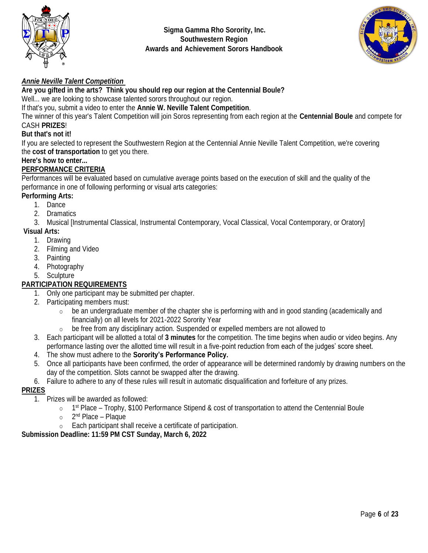



### *Annie Neville Talent Competition*

**Are you gifted in the arts? Think you should rep our region at the Centennial Boule?**

Well... we are looking to showcase talented sorors throughout our region.

If that's you, submit a video to enter the **Annie W. Neville Talent Competition**.

The winner of this year's Talent Competition will join Soros representing from each region at the **Centennial Boule** and compete for CASH **PRIZES**!

### **But that's not it!**

If you are selected to represent the Southwestern Region at the Centennial Annie Neville Talent Competition, we're covering the **cost of transportation** to get you there.

### **Here's how to enter...**

### **PERFORMANCE CRITERIA**

Performances will be evaluated based on cumulative average points based on the execution of skill and the quality of the performance in one of following performing or visual arts categories:

### **Performing Arts:**

- 1. Dance
- 2. Dramatics

3. Musical [Instrumental Classical, Instrumental Contemporary, Vocal Classical, Vocal Contemporary, or Oratory]

### **Visual Arts:**

- 1. Drawing
- 2. Filming and Video
- 3. Painting
- 4. Photography
- 5. Sculpture

### **PARTICIPATION REQUIREMENTS**

- 1. Only one participant may be submitted per chapter.
- 2. Participating members must:
	- o be an undergraduate member of the chapter she is performing with and in good standing (academically and financially) on all levels for 2021-2022 Sorority Year
	- $\circ$  be free from any disciplinary action. Suspended or expelled members are not allowed to
- 3. Each participant will be allotted a total of **3 minutes** for the competition. The time begins when audio or video begins. Any performance lasting over the allotted time will result in a five-point reduction from each of the judges' score sheet.
- 4. The show must adhere to the **Sorority's Performance Policy.**
- 5. Once all participants have been confirmed, the order of appearance will be determined randomly by drawing numbers on the day of the competition. Slots cannot be swapped after the drawing.
- 6. Failure to adhere to any of these rules will result in automatic disqualification and forfeiture of any prizes.

#### **PRIZES**

- 1. Prizes will be awarded as followed:
	- $\circ$  1<sup>st</sup> Place Trophy, \$100 Performance Stipend & cost of transportation to attend the Centennial Boule
	- o 2<sup>nd</sup> Place Plaque
	- o Each participant shall receive a certificate of participation.

### **Submission Deadline: 11:59 PM CST Sunday, March 6, 2022**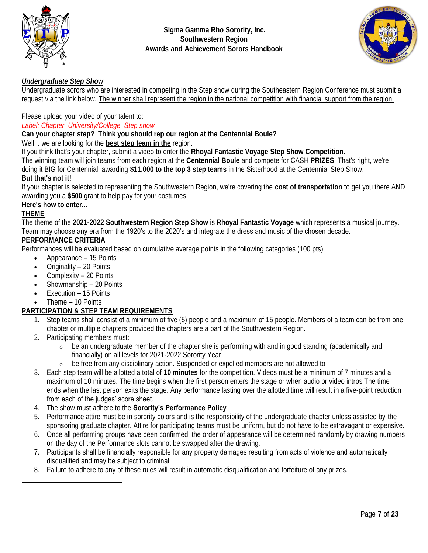



### *Undergraduate Step Show*

Undergraduate sorors who are interested in competing in the Step show during the Southeastern Region Conference must submit a request via the link below. The winner shall represent the region in the national competition with financial support from the region.

### Please upload your video of your talent to:

#### *Label: Chapter, University/College, Step show*

#### **Can your chapter step? Think you should rep our region at the Centennial Boule?**

Well... we are looking for the **best step team in the** region.

If you think that's your chapter, submit a video to enter the **Rhoyal Fantastic Voyage Step Show Competition**.

The winning team will join teams from each region at the **Centennial Boule** and compete for CASH **PRIZES**! That's right, we're doing it BIG for Centennial, awarding **\$11,000 to the top 3 step teams** in the Sisterhood at the Centennial Step Show.

### **But that's not it!**

If your chapter is selected to representing the Southwestern Region, we're covering the **cost of transportation** to get you there AND awarding you a **\$500** grant to help pay for your costumes.

### **Here's how to enter...**

### **THEME**

The theme of the **2021-2022 Southwestern Region Step Show** is **Rhoyal Fantastic Voyage** which represents a musical journey. Team may choose any era from the 1920's to the 2020's and integrate the dress and music of the chosen decade.

### **PERFORMANCE CRITERIA**

Performances will be evaluated based on cumulative average points in the following categories (100 pts):

- Appearance 15 Points
- Originality 20 Points
- Complexity 20 Points
- Showmanship 20 Points
- Execution 15 Points
- Theme 10 Points

### **PARTICIPATION & STEP TEAM REQUIREMENTS**

- 1. Step teams shall consist of a minimum of five (5) people and a maximum of 15 people. Members of a team can be from one chapter or multiple chapters provided the chapters are a part of the Southwestern Region.
- 2. Participating members must:
	- $\circ$  be an undergraduate member of the chapter she is performing with and in good standing (academically and financially) on all levels for 2021-2022 Sorority Year
	- $\circ$  be free from any disciplinary action. Suspended or expelled members are not allowed to
- 3. Each step team will be allotted a total of **10 minutes** for the competition. Videos must be a minimum of 7 minutes and a maximum of 10 minutes. The time begins when the first person enters the stage or when audio or video intros The time ends when the last person exits the stage. Any performance lasting over the allotted time will result in a five-point reduction from each of the judges' score sheet.
- 4. The show must adhere to the **Sorority's Performance Policy**
- 5. Performance attire must be in sorority colors and is the responsibility of the undergraduate chapter unless assisted by the sponsoring graduate chapter. Attire for participating teams must be uniform, but do not have to be extravagant or expensive.
- 6. Once all performing groups have been confirmed, the order of appearance will be determined randomly by drawing numbers on the day of the Performance slots cannot be swapped after the drawing.
- 7. Participants shall be financially responsible for any property damages resulting from acts of violence and automatically disqualified and may be subject to criminal
- 8. Failure to adhere to any of these rules will result in automatic disqualification and forfeiture of any prizes.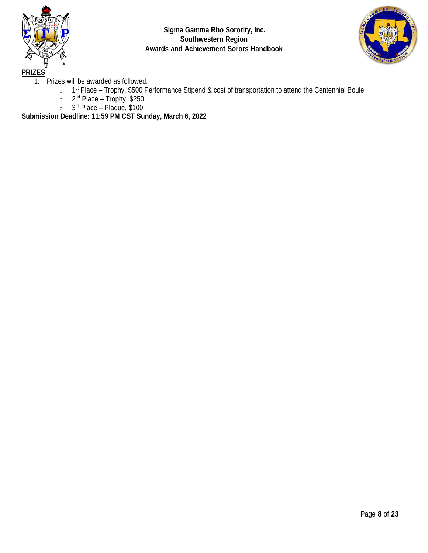



1. Prizes will be awarded as followed:

- $\circ$  1<sup>st</sup> Place Trophy, \$500 Performance Stipend & cost of transportation to attend the Centennial Boule
- o 2<sup>nd</sup> Place Trophy, \$250
- o 3 rd Place Plaque, \$100

**Submission Deadline: 11:59 PM CST Sunday, March 6, 2022**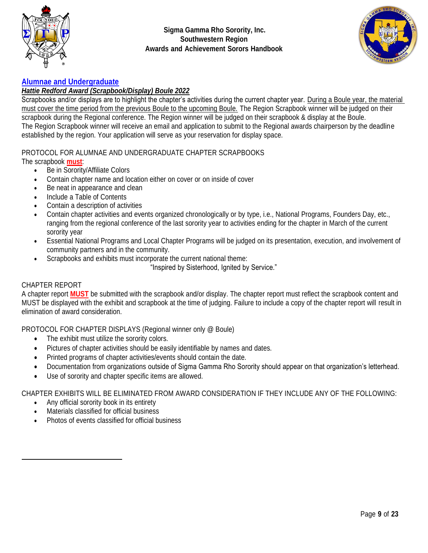



### **Alumnae and Undergraduate**

#### *Hattie Redford Award (Scrapbook/Display) Boule 2022*

Scrapbooks and/or displays are to highlight the chapter's activities during the current chapter year. During a Boule year, the material must cover the time period from the previous Boule to the upcoming Boule. The Region Scrapbook winner will be judged on their scrapbook during the Regional conference. The Region winner will be judged on their scrapbook & display at the Boule. The Region Scrapbook winner will receive an email and application to submit to the Regional awards chairperson by the deadline established by the region. Your application will serve as your reservation for display space.

## PROTOCOL FOR ALUMNAE AND UNDERGRADUATE CHAPTER SCRAPBOOKS

- The scrapbook **must**:
	- Be in Sorority/Affiliate Colors
	- Contain chapter name and location either on cover or on inside of cover
	- Be neat in appearance and clean
	- Include a Table of Contents
	- Contain a description of activities
	- Contain chapter activities and events organized chronologically or by type, i.e., National Programs, Founders Day, etc., ranging from the regional conference of the last sorority year to activities ending for the chapter in March of the current sorority year
	- Essential National Programs and Local Chapter Programs will be judged on its presentation, execution, and involvement of community partners and in the community.
	- Scrapbooks and exhibits must incorporate the current national theme:

"Inspired by Sisterhood, Ignited by Service."

#### CHAPTER REPORT

A chapter report **MUST** be submitted with the scrapbook and/or display. The chapter report must reflect the scrapbook content and MUST be displayed with the exhibit and scrapbook at the time of judging. Failure to include a copy of the chapter report will result in elimination of award consideration.

PROTOCOL FOR CHAPTER DISPLAYS (Regional winner only @ Boule)

- The exhibit must utilize the sorority colors.
- Pictures of chapter activities should be easily identifiable by names and dates.
- Printed programs of chapter activities/events should contain the date.
- Documentation from organizations outside of Sigma Gamma Rho Sorority should appear on that organization's letterhead.
- Use of sorority and chapter specific items are allowed.

CHAPTER EXHIBITS WILL BE ELIMINATED FROM AWARD CONSIDERATION IF THEY INCLUDE ANY OF THE FOLLOWING:

- Any official sorority book in its entirety
- Materials classified for official business
- Photos of events classified for official business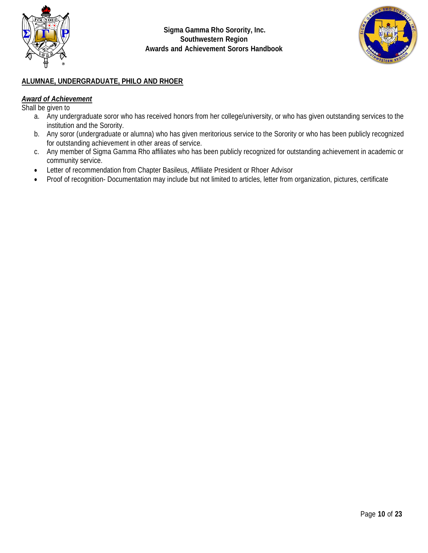



### **ALUMNAE, UNDERGRADUATE, PHILO AND RHOER**

#### *Award of Achievement*

Shall be given to

- a. Any undergraduate soror who has received honors from her college/university, or who has given outstanding services to the institution and the Sorority.
- b. Any soror (undergraduate or alumna) who has given meritorious service to the Sorority or who has been publicly recognized for outstanding achievement in other areas of service.
- c. Any member of Sigma Gamma Rho affiliates who has been publicly recognized for outstanding achievement in academic or community service.
- Letter of recommendation from Chapter Basileus, Affiliate President or Rhoer Advisor
- Proof of recognition- Documentation may include but not limited to articles, letter from organization, pictures, certificate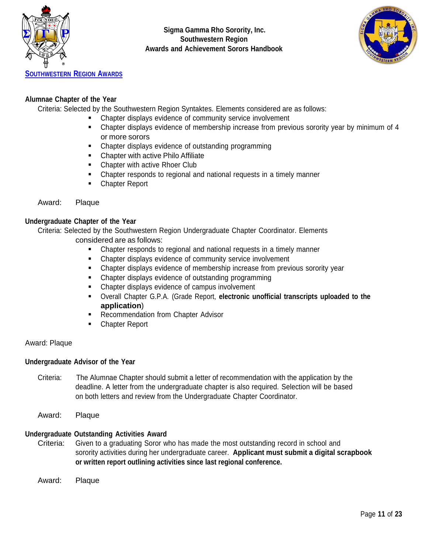



### **Alumnae Chapter of the Year**

Criteria: Selected by the Southwestern Region Syntaktes. Elements considered are as follows:

- Chapter displays evidence of community service involvement
- Chapter displays evidence of membership increase from previous sorority year by minimum of 4 or more sorors
- Chapter displays evidence of outstanding programming
- Chapter with active Philo Affiliate
- Chapter with active Rhoer Club
- Chapter responds to regional and national requests in a timely manner
- Chapter Report

#### Award: Plaque

#### **Undergraduate Chapter of the Year**

Criteria: Selected by the Southwestern Region Undergraduate Chapter Coordinator. Elements considered are as follows:

- Chapter responds to regional and national requests in a timely manner
- Chapter displays evidence of community service involvement
- **EXECO Applementary Exercice of membership increase from previous sorority year**
- Chapter displays evidence of outstanding programming
- Chapter displays evidence of campus involvement
- Overall Chapter G.P.A. (Grade Report, **electronic unofficial transcripts uploaded to the application**)
- Recommendation from Chapter Advisor
- Chapter Report

#### Award: Plaque

#### **Undergraduate Advisor of the Year**

- Criteria: The Alumnae Chapter should submit a letter of recommendation with the application by the deadline. A letter from the undergraduate chapter is also required. Selection will be based on both letters and review from the Undergraduate Chapter Coordinator.
- Award: Plaque

#### **Undergraduate Outstanding Activities Award**

Criteria: Given to a graduating Soror who has made the most outstanding record in school and sorority activities during her undergraduate career. **Applicant must submit a digital scrapbook or written report outlining activities since last regional conference.**

Award: Plaque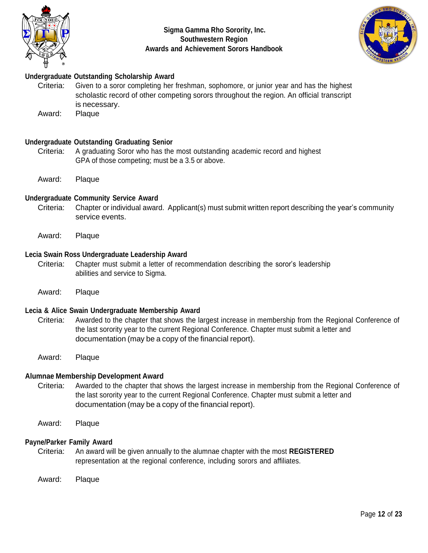



### **Undergraduate Outstanding Scholarship Award**

Criteria: Given to a soror completing her freshman, sophomore, or junior year and has the highest scholastic record of other competing sorors throughout the region. An official transcript is necessary.

Award: Plaque

#### **Undergraduate Outstanding Graduating Senior**

- Criteria: A graduating Soror who has the most outstanding academic record and highest GPA of those competing; must be a 3.5 or above.
- Award: Plaque

#### **Undergraduate Community Service Award**

- Criteria: Chapter or individual award. Applicant(s) must submit written report describing the year's community service events.
- Award: Plaque

#### **Lecia Swain Ross Undergraduate Leadership Award**

- Criteria: Chapter must submit a letter of recommendation describing the soror's leadership abilities and service to Sigma.
- Award: Plaque

#### **Lecia & Alice Swain Undergraduate Membership Award**

- Criteria: Awarded to the chapter that shows the largest increase in membership from the Regional Conference of the last sorority year to the current Regional Conference. Chapter must submit a letter and documentation (may be a copy of the financial report).
- Award: Plaque

#### **Alumnae Membership Development Award**

- Criteria: Awarded to the chapter that shows the largest increase in membership from the Regional Conference of the last sorority year to the current Regional Conference. Chapter must submit a letter and documentation (may be a copy of the financial report).
- Award: Plaque

#### **Payne/Parker Family Award**

- Criteria: An award will be given annually to the alumnae chapter with the most **REGISTERED** representation at the regional conference, including sorors and affiliates.
- Award: Plaque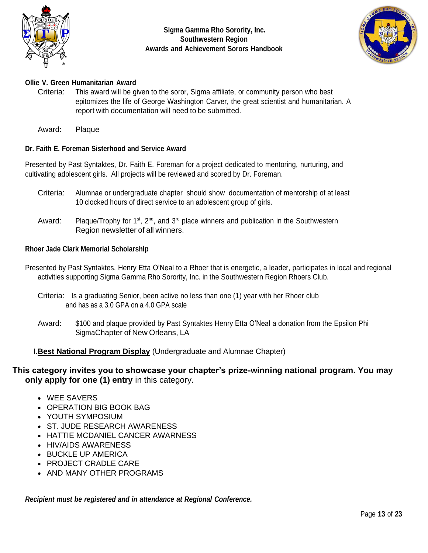



### **Ollie V. Green Humanitarian Award**

Criteria: This award will be given to the soror, Sigma affiliate, or community person who best epitomizes the life of George Washington Carver, the great scientist and humanitarian. A report with documentation will need to be submitted.

Award: Plaque

### **Dr. Faith E. Foreman Sisterhood and Service Award**

Presented by Past Syntaktes, Dr. Faith E. Foreman for a project dedicated to mentoring, nurturing, and cultivating adolescent girls. All projects will be reviewed and scored by Dr. Foreman.

- Criteria: Alumnae or undergraduate chapter should show documentation of mentorship of at least 10 clocked hours of direct service to an adolescent group of girls.
- Award: Plaque/Trophy for 1<sup>st</sup>, 2<sup>nd</sup>, and 3<sup>rd</sup> place winners and publication in the Southwestern Region newsletter of all winners.

#### **Rhoer Jade Clark Memorial Scholarship**

- Presented by Past Syntaktes, Henry Etta O'Neal to a Rhoer that is energetic, a leader, participates in local and regional activities supporting Sigma Gamma Rho Sorority, Inc. in the Southwestern Region Rhoers Club.
	- Criteria: Is a graduating Senior, been active no less than one (1) year with her Rhoer club and has as a 3.0 GPA on a 4.0 GPA scale
	- Award: \$100 and plaque provided by Past Syntaktes Henry Etta O'Neal a donation from the Epsilon Phi SigmaChapter of New Orleans, LA

### I.**Best National Program Display** (Undergraduate and Alumnae Chapter)

### **This category invites you to showcase your chapter's prize-winning national program. You may only apply for one (1) entry** in this category.

- WEE SAVERS
- OPERATION BIG BOOK BAG
- YOUTH SYMPOSIUM
- ST. JUDE RESEARCH AWARENESS
- HATTIE MCDANIEL CANCER AWARNESS
- HIV/AIDS AWARENESS
- BUCKLE UP AMERICA
- PROJECT CRADLE CARE
- AND MANY OTHER PROGRAMS

*Recipient must be registered and in attendance at Regional Conference.*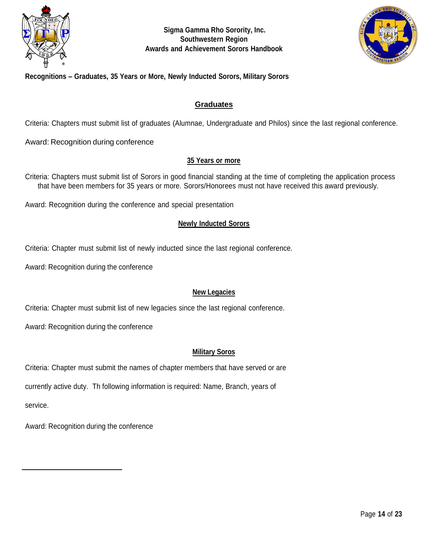



### **Recognitions – Graduates, 35 Years or More, Newly Inducted Sorors, Military Sorors**

#### **Graduates**

Criteria: Chapters must submit list of graduates (Alumnae, Undergraduate and Philos) since the last regional conference.

Award: Recognition during conference

#### **35 Years or more**

Criteria: Chapters must submit list of Sorors in good financial standing at the time of completing the application process that have been members for 35 years or more. Sorors/Honorees must not have received this award previously.

Award: Recognition during the conference and special presentation

#### **Newly Inducted Sorors**

Criteria: Chapter must submit list of newly inducted since the last regional conference.

Award: Recognition during the conference

#### **New Legacies**

Criteria: Chapter must submit list of new legacies since the last regional conference.

Award: Recognition during the conference

#### **Military Soros**

Criteria: Chapter must submit the names of chapter members that have served or are

currently active duty. Th following information is required: Name, Branch, years of

service.

Award: Recognition during the conference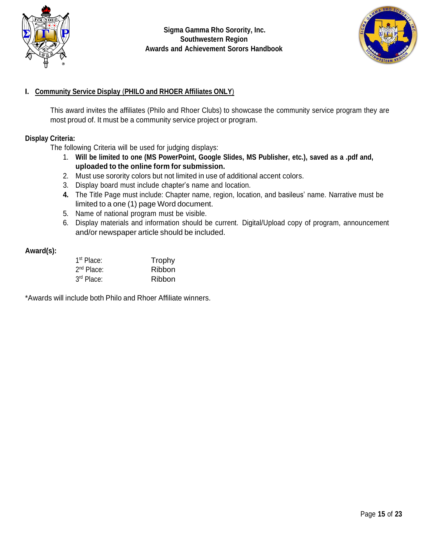



### **I. Community Service Display** (**PHILO and RHOER Affiliates ONLY**)

This award invites the affiliates (Philo and Rhoer Clubs) to showcase the community service program they are most proud of. It must be a community service project or program.

### **Display Criteria:**

The following Criteria will be used for judging displays:

- 1. **Will be limited to one (MS PowerPoint, Google Slides, MS Publisher, etc.), saved as a .pdf and, uploaded to the online form for submission.**
- 2. Must use sorority colors but not limited in use of additional accent colors.
- 3. Display board must include chapter's name and location.
- **4.** The Title Page must include: Chapter name, region, location, and basileus' name. Narrative must be limited to a one (1) page Word document.
- 5. Name of national program must be visible.
- 6. Display materials and information should be current. Digital/Upload copy of program, announcement and/or newspaper article should be included.

#### **Award(s):**

| 1 <sup>st</sup> Place: | Trophy |
|------------------------|--------|
| $2nd$ Place:           | Ribbon |
| 3rd Place:             | Ribbon |

\*Awards will include both Philo and Rhoer Affiliate winners.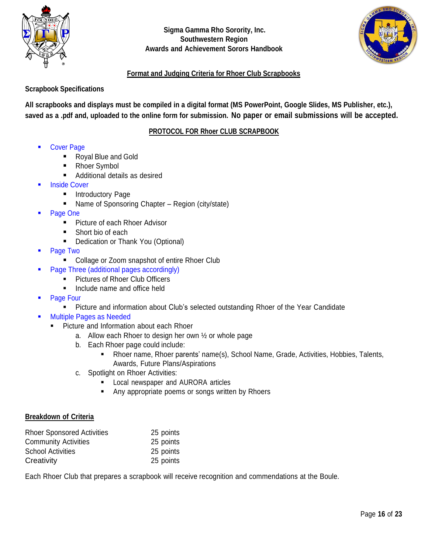



### **Format and Judging Criteria for Rhoer Club Scrapbooks**

### **Scrapbook Specifications**

All scrapbooks and displays must be compiled in a digital format (MS PowerPoint, Google Slides, MS Publisher, etc.), saved as a .pdf and, uploaded to the online form for submission. No paper or email submissions will be accepted.

### **PROTOCOL FOR Rhoer CLUB SCRAPBOOK**

- **Cover Page** 
	- Royal Blue and Gold
	- **Rhoer Symbol**
	- Additional details as desired
- **Inside Cover** 
	- Introductory Page
	- Name of Sponsoring Chapter Region (city/state)
- Page One
	- Picture of each Rhoer Advisor
	- Short bio of each
	- Dedication or Thank You (Optional)
- Page Two
	- Collage or Zoom snapshot of entire Rhoer Club
- Page Three (additional pages accordingly)
	- Pictures of Rhoer Club Officers
	- Include name and office held
- Page Four
	- Picture and information about Club's selected outstanding Rhoer of the Year Candidate
- **Multiple Pages as Needed** 
	- Picture and Information about each Rhoer
		- a. Allow each Rhoer to design her own ½ or whole page
		- b. Each Rhoer page could include:
			- Rhoer name, Rhoer parents' name(s), School Name, Grade, Activities, Hobbies, Talents, Awards, Future Plans/Aspirations
		- c. Spotlight on Rhoer Activities:
			- Local newspaper and AURORA articles
			- Any appropriate poems or songs written by Rhoers

#### **Breakdown of Criteria**

| <b>Rhoer Sponsored Activities</b> | 25 points |
|-----------------------------------|-----------|
| <b>Community Activities</b>       | 25 points |
| <b>School Activities</b>          | 25 points |
| Creativity                        | 25 points |

Each Rhoer Club that prepares a scrapbook will receive recognition and commendations at the Boule.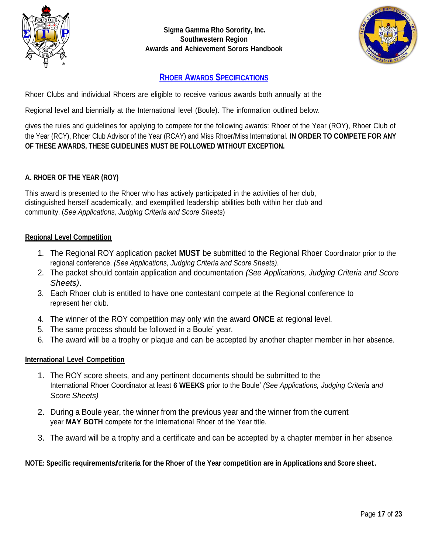



## **RHOER AWARDS SPECIFICATIONS**

Rhoer Clubs and individual Rhoers are eligible to receive various awards both annually at the

Regional level and biennially at the International level (Boule). The information outlined below.

gives the rules and guidelines for applying to compete for the following awards: Rhoer of the Year (ROY), Rhoer Club of the Year (RCY), Rhoer Club Advisor of the Year (RCAY) and Miss Rhoer/Miss International. **IN ORDER TO COMPETE FOR ANY OF THESE AWARDS, THESE GUIDELINES MUST BE FOLLOWED WITHOUT EXCEPTION.**

### **A. RHOER OF THE YEAR (ROY)**

This award is presented to the Rhoer who has actively participated in the activities of her club, distinguished herself academically, and exemplified leadership abilities both within her club and community. (*See Applications, Judging Criteria and Score Sheets*)

#### **Regional Level Competition**

- 1. The Regional ROY application packet **MUST** be submitted to the Regional Rhoer Coordinator prior to the regional conference. *(See Applications, Judging Criteria and Score Sheets)*.
- 2. The packet should contain application and documentation *(See Applications, Judging Criteria and Score Sheets)*.
- 3. Each Rhoer club is entitled to have one contestant compete at the Regional conference to represent her club.
- 4. The winner of the ROY competition may only win the award **ONCE** at regional level.
- 5. The same process should be followed in a Boule' year.
- 6. The award will be a trophy or plaque and can be accepted by another chapter member in her absence.

#### **International Level Competition**

- 1. The ROY score sheets, and any pertinent documents should be submitted to the International Rhoer Coordinator at least **6 WEEKS** prior to the Boule' *(See Applications, Judging Criteria and Score Sheets)*
- 2. During a Boule year, the winner from the previous year and the winner from the current year **MAY BOTH** compete for the International Rhoer of the Year title.
- 3. The award will be a trophy and a certificate and can be accepted by a chapter member in her absence.

#### **NOTE: Specific requirements/criteria for the Rhoer of the Year competition are in Applications and Score sheet.**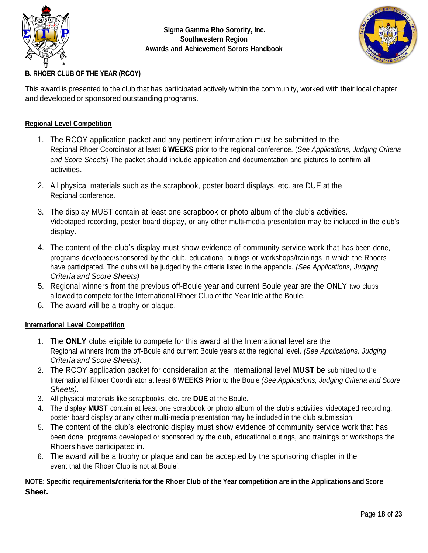



## **B. RHOER CLUB OF THE YEAR (RCOY)**

This award is presented to the club that has participated actively within the community, worked with their local chapter and developed or sponsored outstanding programs.

### **Regional Level Competition**

- 1. The RCOY application packet and any pertinent information must be submitted to the Regional Rhoer Coordinator at least **6 WEEKS** prior to the regional conference. (*See Applications, Judging Criteria and Score Sheets*) The packet should include application and documentation and pictures to confirm all activities.
- 2. All physical materials such as the scrapbook, poster board displays, etc. are DUE at the Regional conference.
- 3. The display MUST contain at least one scrapbook or photo album of the club's activities. Videotaped recording, poster board display, or any other multi-media presentation may be included in the club's display.
- 4. The content of the club's display must show evidence of community service work that has been done, programs developed/sponsored by the club, educational outings or workshops/trainings in which the Rhoers have participated. The clubs will be judged by the criteria listed in the appendix. *(See Applications, Judging Criteria and Score Sheets)*
- 5. Regional winners from the previous off-Boule year and current Boule year are the ONLY two clubs allowed to compete for the International Rhoer Club of the Year title at the Boule.
- 6. The award will be a trophy or plaque.

### **International Level Competition**

- 1. The **ONLY** clubs eligible to compete for this award at the International level are the Regional winners from the off-Boule and current Boule years at the regional level. *(See Applications, Judging Criteria and Score Sheets)*.
- 2. The RCOY application packet for consideration at the International level **MUST** be submitted to the International Rhoer Coordinator at least **6 WEEKS Prior** to the Boule *(See Applications, Judging Criteria and Score Sheets).*
- 3. All physical materials like scrapbooks, etc. are **DUE** at the Boule.
- 4. The display **MUST** contain at least one scrapbook or photo album of the club's activities videotaped recording, poster board display or any other multi-media presentation may be included in the club submission.
- 5. The content of the club's electronic display must show evidence of community service work that has been done, programs developed or sponsored by the club, educational outings, and trainings or workshops the Rhoers have participated in.
- 6. The award will be a trophy or plaque and can be accepted by the sponsoring chapter in the event that the Rhoer Club is not at Boule'.

### NOTE: Specific requirements/criteria for the Rhoer Club of the Year competition are in the Applications and Score **Sheet.**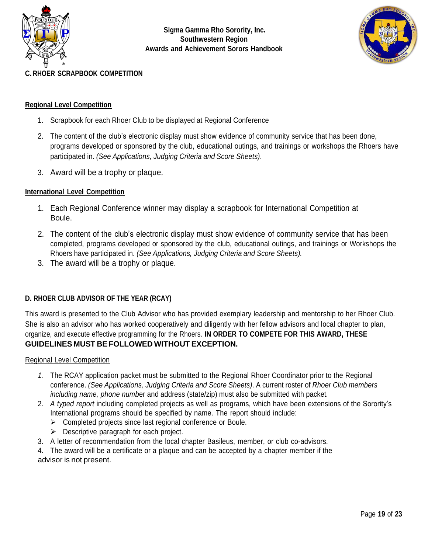



### **C. RHOER SCRAPBOOK COMPETITION**

#### **Regional Level Competition**

- 1. Scrapbook for each Rhoer Club to be displayed at Regional Conference
- 2. The content of the club's electronic display must show evidence of community service that has been done, programs developed or sponsored by the club, educational outings, and trainings or workshops the Rhoers have participated in. *(See Applications, Judging Criteria and Score Sheets)*.
- 3. Award will be a trophy or plaque.

#### **International Level Competition**

- 1. Each Regional Conference winner may display a scrapbook for International Competition at Boule.
- 2. The content of the club's electronic display must show evidence of community service that has been completed, programs developed or sponsored by the club, educational outings, and trainings or Workshops the Rhoers have participated in. *(See Applications, Judging Criteria and Score Sheets).*
- 3. The award will be a trophy or plaque.

#### **D. RHOER CLUB ADVISOR OF THE YEAR (RCAY)**

This award is presented to the Club Advisor who has provided exemplary leadership and mentorship to her Rhoer Club. She is also an advisor who has worked cooperatively and diligently with her fellow advisors and local chapter to plan, organize, and execute effective programming for the Rhoers. **IN ORDER TO COMPETE FOR THIS AWARD, THESE GUIDELINES MUST BEFOLLOWED WITHOUT EXCEPTION.**

Regional Level Competition

- *1.* The RCAY application packet must be submitted to the Regional Rhoer Coordinator prior to the Regional conference. *(See Applications, Judging Criteria and Score Sheets)*. A current roster of *Rhoer Club members including name, phone numb*er and address (state/zip) must also be submitted with packet*.*
- 2. *A typed report* including completed projects as well as programs, which have been extensions of the Sorority's International programs should be specified by name. The report should include:
	- ➢ Completed projects since last regional conference or Boule.
	- $\triangleright$  Descriptive paragraph for each project.
- 3. A letter of recommendation from the local chapter Basileus, member, or club co-advisors.

4. The award will be a certificate or a plaque and can be accepted by a chapter member if the advisor is not present.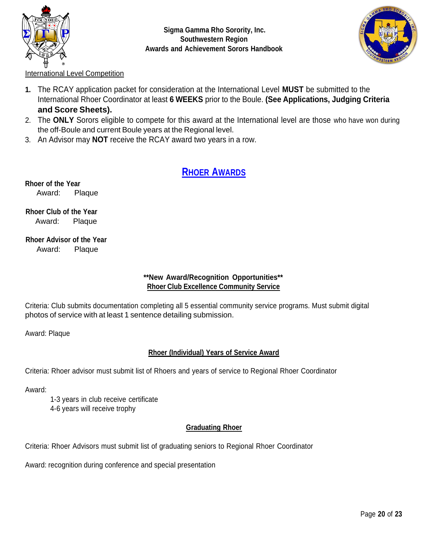



International Level Competition

- **1.** The RCAY application packet for consideration at the International Level **MUST** be submitted to the International Rhoer Coordinator at least **6 WEEKS** prior to the Boule. **(See Applications, Judging Criteria and Score Sheets).**
- 2. The **ONLY** Sorors eligible to compete for this award at the International level are those who have won during the off-Boule and current Boule years at the Regional level.
- 3. An Advisor may **NOT** receive the RCAY award two years in a row.

## **RHOER AWARDS**

**Rhoer of the Year** Award: Plaque

**Rhoer Club of the Year** Award: Plaque

**Rhoer Advisor of the Year** Award: Plaque

### **\*\*New Award/Recognition Opportunities\*\* Rhoer Club Excellence Community Service**

Criteria: Club submits documentation completing all 5 essential community service programs. Must submit digital photos of service with at least 1 sentence detailing submission.

Award: Plaque

### **Rhoer (Individual) Years of Service Award**

Criteria: Rhoer advisor must submit list of Rhoers and years of service to Regional Rhoer Coordinator

Award:

1-3 years in club receive certificate 4-6 years will receive trophy

### **Graduating Rhoer**

Criteria: Rhoer Advisors must submit list of graduating seniors to Regional Rhoer Coordinator

Award: recognition during conference and special presentation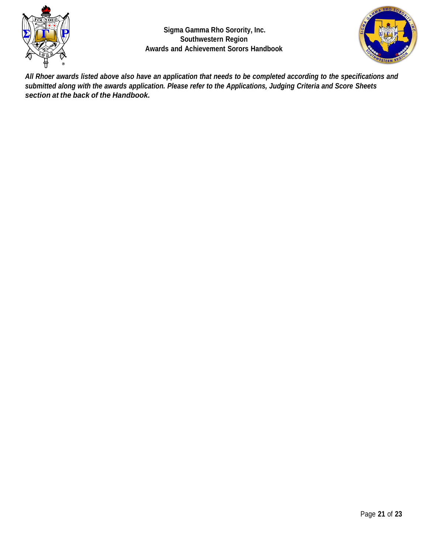



All Rhoer awards listed above also have an application that needs to be completed according to the specifications and *submitted along with the awards application. Please refer to the Applications, Judging Criteria and Score Sheets section at the back of the Handbook.*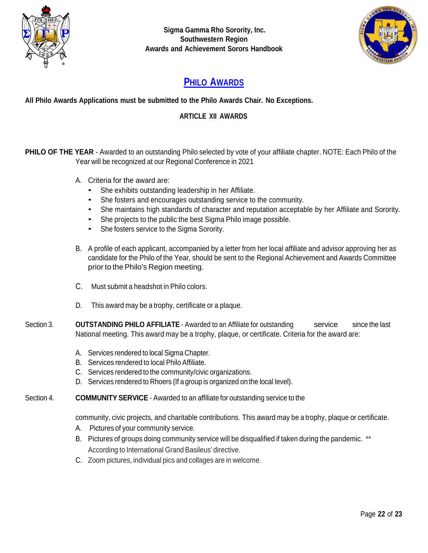



# **PHILO AWARDS**

**All Philo Awards Applications must be submitted to the Philo Awards Chair. No Exceptions.**

### **ARTICLE XII AWARDS**

**PHILO OF THE YEAR** - Awarded to an outstanding Philo selected by vote of your affiliate chapter. NOTE: Each Philo of the Year will be recognized at our Regional Conference in 2021

- A. Criteria for the award are:
	- She exhibits outstanding leadership in her Affiliate.
	- She fosters and encourages outstanding service to the community.
	- She maintains high standards of character and reputation acceptable by her Affiliate and Sorority.
	- She projects to the public the best Sigma Philo image possible.
	- She fosters service to the Sigma Sorority.
- B. A profile of each applicant, accompanied by a letter from her local affiliate and advisor approving her as candidate for the Philo of the Year, should be sent to the Regional Achievement and Awards Committee prior to the Philo's Region meeting.
- C. Must submit a headshot in Philo colors.
- D. This award may be a trophy, certificate or a plaque.
- Section 3. **OUTSTANDING PHILO AFFILIATE** Awarded to an Affiliate for outstanding service since the last National meeting. This award may be a trophy, plaque, or certificate. Criteria for the award are:
	- A. Services rendered to local Sigma Chapter.
	- B. Services rendered to local Philo Affiliate.
	- C. Services rendered to the community/civic organizations.
	- D. Services rendered to Rhoers (If a group is organized on the local level).
- Section 4. **COMMUNITY SERVICE** Awarded to an affiliate for outstanding service to the

community, civic projects, and charitable contributions. This award may be a trophy, plaque or certificate.

- A. Pictures of your community service.
- B. Pictures of groups doing community service will be disqualified if taken during the pandemic. \*\* According to International Grand Basileus' directive.
- C. Zoom pictures, individual pics and collages are in welcome.